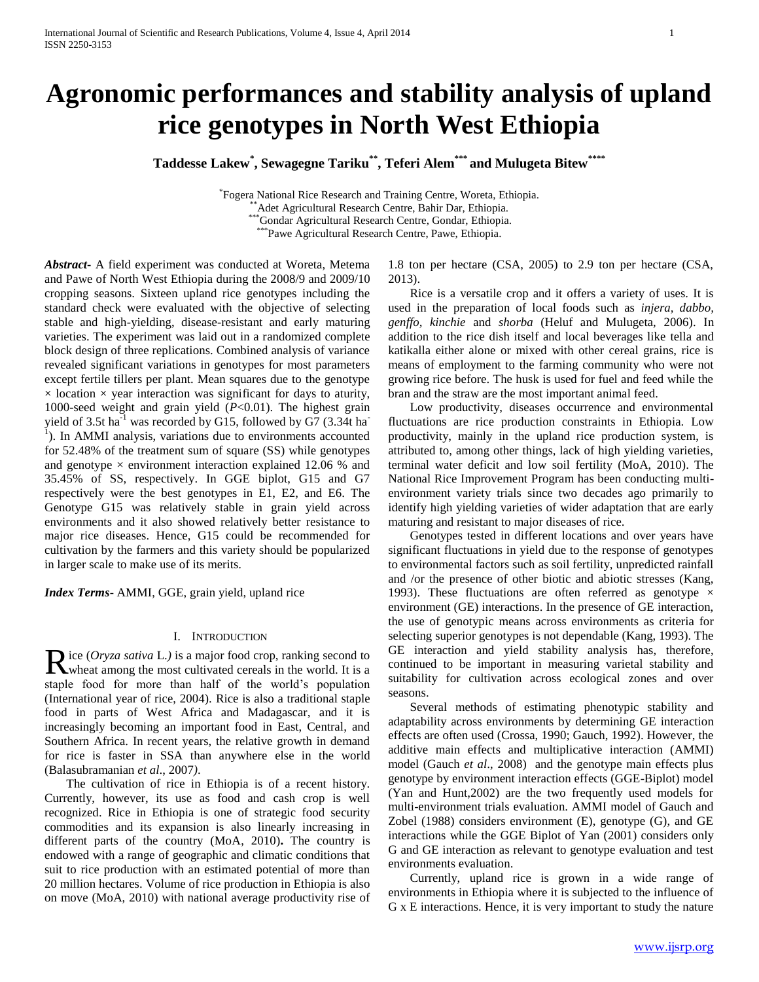# **Agronomic performances and stability analysis of upland rice genotypes in North West Ethiopia**

**Taddesse Lakew\* , Sewagegne Tariku\*\*, Teferi Alem\*\*\* and Mulugeta Bitew\*\*\*\***

\* Fogera National Rice Research and Training Centre, Woreta, Ethiopia. \*\*Adet Agricultural Research Centre, Bahir Dar, Ethiopia. \*\*\*Gondar Agricultural Research Centre, Gondar, Ethiopia. \*\*\*Pawe Agricultural Research Centre, Pawe, Ethiopia.

*Abstract***-** A field experiment was conducted at Woreta, Metema and Pawe of North West Ethiopia during the 2008/9 and 2009/10 cropping seasons. Sixteen upland rice genotypes including the standard check were evaluated with the objective of selecting stable and high-yielding, disease-resistant and early maturing varieties. The experiment was laid out in a randomized complete block design of three replications. Combined analysis of variance revealed significant variations in genotypes for most parameters except fertile tillers per plant. Mean squares due to the genotype  $\times$  location  $\times$  year interaction was significant for days to aturity, 1000-seed weight and grain yield (*P*<0.01). The highest grain yield of 3.5t ha<sup>-1</sup> was recorded by G15, followed by G7 (3.34t ha<sup>-1</sup> <sup>1</sup>). In AMMI analysis, variations due to environments accounted for 52.48% of the treatment sum of square (SS) while genotypes and genotype  $\times$  environment interaction explained 12.06 % and 35.45% of SS, respectively. In GGE biplot, G15 and G7 respectively were the best genotypes in E1, E2, and E6. The Genotype G15 was relatively stable in grain yield across environments and it also showed relatively better resistance to major rice diseases. Hence, G15 could be recommended for cultivation by the farmers and this variety should be popularized in larger scale to make use of its merits.

*Index Terms*- AMMI, GGE, grain yield, upland rice

## I. INTRODUCTION

**i**ce (*Oryza sativa* L.) is a major food crop, ranking second to Rice (Oryza sativa L.) is a major food crop, ranking second to wheat among the most cultivated cereals in the world. It is a staple food for more than half of the world's population (International year of rice, 2004). Rice is also a traditional staple food in parts of West Africa and Madagascar, and it is increasingly becoming an important food in East, Central, and Southern Africa. In recent years, the relative growth in demand for rice is faster in SSA than anywhere else in the world (Balasubramanian *et al*., 2007*)*.

 The cultivation of rice in Ethiopia is of a recent history. Currently, however, its use as food and cash crop is well recognized. Rice in Ethiopia is one of strategic food security commodities and its expansion is also linearly increasing in different parts of the country (MoA, 2010)**.** The country is endowed with a range of geographic and climatic conditions that suit to rice production with an estimated potential of more than 20 million hectares. Volume of rice production in Ethiopia is also on move (MoA, 2010) with national average productivity rise of

1.8 ton per hectare (CSA, 2005) to 2.9 ton per hectare (CSA, 2013).

 Rice is a versatile crop and it offers a variety of uses. It is used in the preparation of local foods such as *injera, dabbo, genffo, kinchie* and *shorba* (Heluf and Mulugeta, 2006). In addition to the rice dish itself and local beverages like tella and katikalla either alone or mixed with other cereal grains, rice is means of employment to the farming community who were not growing rice before. The husk is used for fuel and feed while the bran and the straw are the most important animal feed.

 Low productivity, diseases occurrence and environmental fluctuations are rice production constraints in Ethiopia. Low productivity, mainly in the upland rice production system, is attributed to, among other things, lack of high yielding varieties, terminal water deficit and low soil fertility (MoA, 2010). The National Rice Improvement Program has been conducting multienvironment variety trials since two decades ago primarily to identify high yielding varieties of wider adaptation that are early maturing and resistant to major diseases of rice.

 Genotypes tested in different locations and over years have significant fluctuations in yield due to the response of genotypes to environmental factors such as soil fertility, unpredicted rainfall and /or the presence of other biotic and abiotic stresses (Kang, 1993). These fluctuations are often referred as genotype  $\times$ environment (GE) interactions. In the presence of GE interaction, the use of genotypic means across environments as criteria for selecting superior genotypes is not dependable (Kang, 1993). The GE interaction and yield stability analysis has, therefore, continued to be important in measuring varietal stability and suitability for cultivation across ecological zones and over seasons.

 Several methods of estimating phenotypic stability and adaptability across environments by determining GE interaction effects are often used (Crossa, 1990; Gauch, 1992). However, the additive main effects and multiplicative interaction (AMMI) model (Gauch *et al*., 2008) and the genotype main effects plus genotype by environment interaction effects (GGE-Biplot) model (Yan and Hunt,2002) are the two frequently used models for multi-environment trials evaluation. AMMI model of Gauch and Zobel (1988) considers environment (E), genotype (G), and GE interactions while the GGE Biplot of Yan (2001) considers only G and GE interaction as relevant to genotype evaluation and test environments evaluation.

 Currently, upland rice is grown in a wide range of environments in Ethiopia where it is subjected to the influence of G x E interactions. Hence, it is very important to study the nature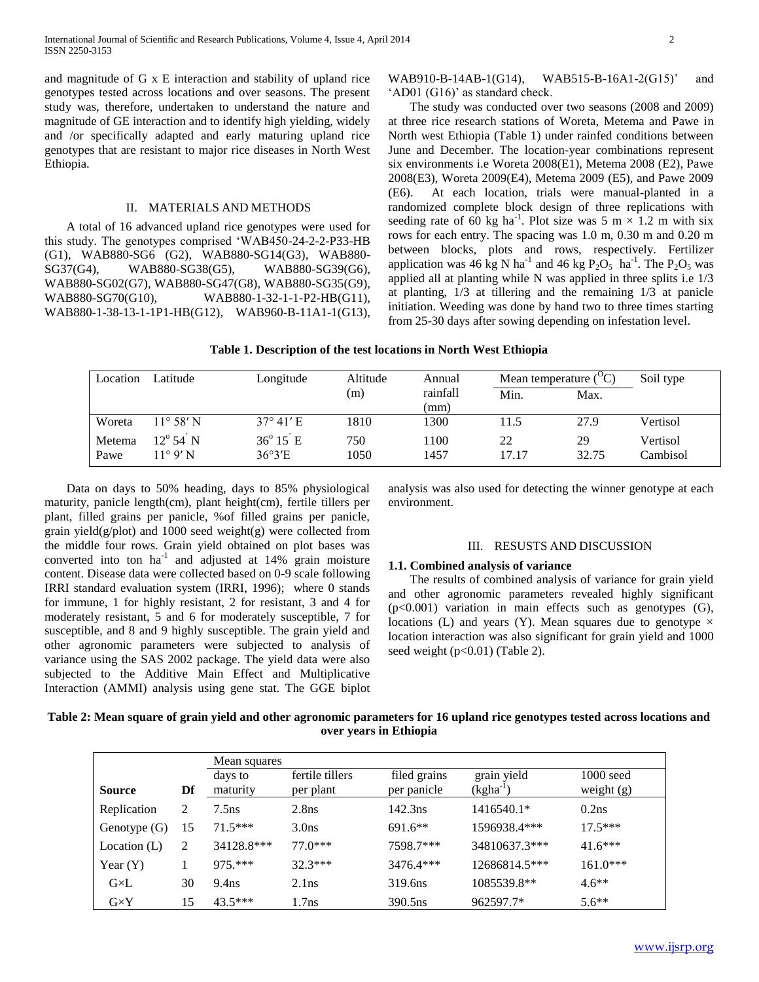and magnitude of G x E interaction and stability of upland rice genotypes tested across locations and over seasons. The present study was, therefore, undertaken to understand the nature and magnitude of GE interaction and to identify high yielding, widely and /or specifically adapted and early maturing upland rice genotypes that are resistant to major rice diseases in North West Ethiopia.

## II. MATERIALS AND METHODS

 A total of 16 advanced upland rice genotypes were used for this study. The genotypes comprised 'WAB450-24-2-2-P33-HB (G1), WAB880-SG6 (G2), WAB880-SG14(G3), WAB880- SG37(G4), WAB880-SG38(G5), WAB880-SG39(G6), WAB880-SG02(G7), WAB880-SG47(G8), WAB880-SG35(G9), WAB880-SG70(G10), WAB880-1-32-1-1-P2-HB(G11), WAB880-1-38-13-1-1P1-HB(G12), WAB960-B-11A1-1(G13),

WAB910-B-14AB-1(G14), WAB515-B-16A1-2(G15)' and 'AD01 (G16)' as standard check.

 The study was conducted over two seasons (2008 and 2009) at three rice research stations of Woreta, Metema and Pawe in North west Ethiopia (Table 1) under rainfed conditions between June and December. The location-year combinations represent six environments i.e Woreta 2008(E1), Metema 2008 (E2), Pawe 2008(E3), Woreta 2009(E4), Metema 2009 (E5), and Pawe 2009 (E6). At each location, trials were manual-planted in a randomized complete block design of three replications with seeding rate of 60 kg ha<sup>-1</sup>. Plot size was 5 m  $\times$  1.2 m with six rows for each entry. The spacing was 1.0 m, 0.30 m and 0.20 m between blocks, plots and rows, respectively. Fertilizer application was 46 kg N ha<sup>-1</sup> and 46 kg  $P_2O_5$  ha<sup>-1</sup>. The  $P_2O_5$  was applied all at planting while N was applied in three splits i.e 1/3 at planting, 1/3 at tillering and the remaining 1/3 at panicle initiation. Weeding was done by hand two to three times starting from 25-30 days after sowing depending on infestation level.

## **Table 1. Description of the test locations in North West Ethiopia**

| Location       | Latitude                                      | Longitude                           | Altitude    | Annual           | Mean temperature $({}^{O}C)$ | Soil type   |                      |
|----------------|-----------------------------------------------|-------------------------------------|-------------|------------------|------------------------------|-------------|----------------------|
|                |                                               |                                     | (m)         | rainfall<br>(mm) | Min.                         | Max.        |                      |
| Woreta         | $11^{\circ} 58' N$                            | $37^{\circ}$ 41' E                  | 1810        | 1300             | 11.5                         | 27.9        | Vertisol             |
| Metema<br>Pawe | $12^{\circ} 54^{\circ} N$<br>$11^{\circ}9'$ N | $36^{\circ} 15^{\circ}$ E<br>36°3'E | 750<br>1050 | 1100<br>1457     | 22<br>17.17                  | 29<br>32.75 | Vertisol<br>Cambisol |

 Data on days to 50% heading, days to 85% physiological maturity, panicle length(cm), plant height(cm), fertile tillers per plant, filled grains per panicle, %of filled grains per panicle, grain yield(g/plot) and 1000 seed weight(g) were collected from the middle four rows. Grain yield obtained on plot bases was converted into ton  $ha^{-1}$  and adjusted at 14% grain moisture content. Disease data were collected based on 0-9 scale following IRRI standard evaluation system (IRRI, 1996); where 0 stands for immune, 1 for highly resistant, 2 for resistant, 3 and 4 for moderately resistant, 5 and 6 for moderately susceptible, 7 for susceptible, and 8 and 9 highly susceptible. The grain yield and other agronomic parameters were subjected to analysis of variance using the SAS 2002 package. The yield data were also subjected to the Additive Main Effect and Multiplicative Interaction (AMMI) analysis using gene stat. The GGE biplot

analysis was also used for detecting the winner genotype at each environment.

### III. RESUSTS AND DISCUSSION

#### **1.1. Combined analysis of variance**

 The results of combined analysis of variance for grain yield and other agronomic parameters revealed highly significant  $(p<0.001)$  variation in main effects such as genotypes  $(G)$ , locations (L) and years (Y). Mean squares due to genotype  $\times$ location interaction was also significant for grain yield and 1000 seed weight  $(p<0.01)$  (Table 2).

## **Table 2: Mean square of grain yield and other agronomic parameters for 16 upland rice genotypes tested across locations and over years in Ethiopia**

|                |    | Mean squares        |                              |                             |                              |                             |
|----------------|----|---------------------|------------------------------|-----------------------------|------------------------------|-----------------------------|
| <b>Source</b>  | Df | days to<br>maturity | fertile tillers<br>per plant | filed grains<br>per panicle | grain yield<br>$(kgha^{-1})$ | $1000$ seed<br>weight $(g)$ |
| Replication    | 2  | $7.5$ ns            | 2.8 <sub>ns</sub>            | $142.3$ ns                  | 1416540.1*                   | $0.2$ ns                    |
| Genotype $(G)$ | 15 | $71.5***$           | 3.0 <sub>ns</sub>            | $691.6**$                   | 1596938.4***                 | $17.5***$                   |
| Location $(L)$ | 2  | 34128.8***          | $77.0***$                    | 7598.7***                   | 34810637.3***                | $41.6***$                   |
| Year $(Y)$     |    | 975.***             | $32.3***$                    | $3476.4***$                 | 12686814.5***                | $161.0***$                  |
| $G\times L$    | 30 | 9.4 <sub>ns</sub>   | $2.1$ ns                     | 319.6 <sub>ns</sub>         | 1085539.8**                  | $4.6**$                     |
| $G\times Y$    | 15 | $43.5***$           | 1.7 <sub>ns</sub>            | 390.5 <sub>ns</sub>         | 962597.7*                    | $5.6**$                     |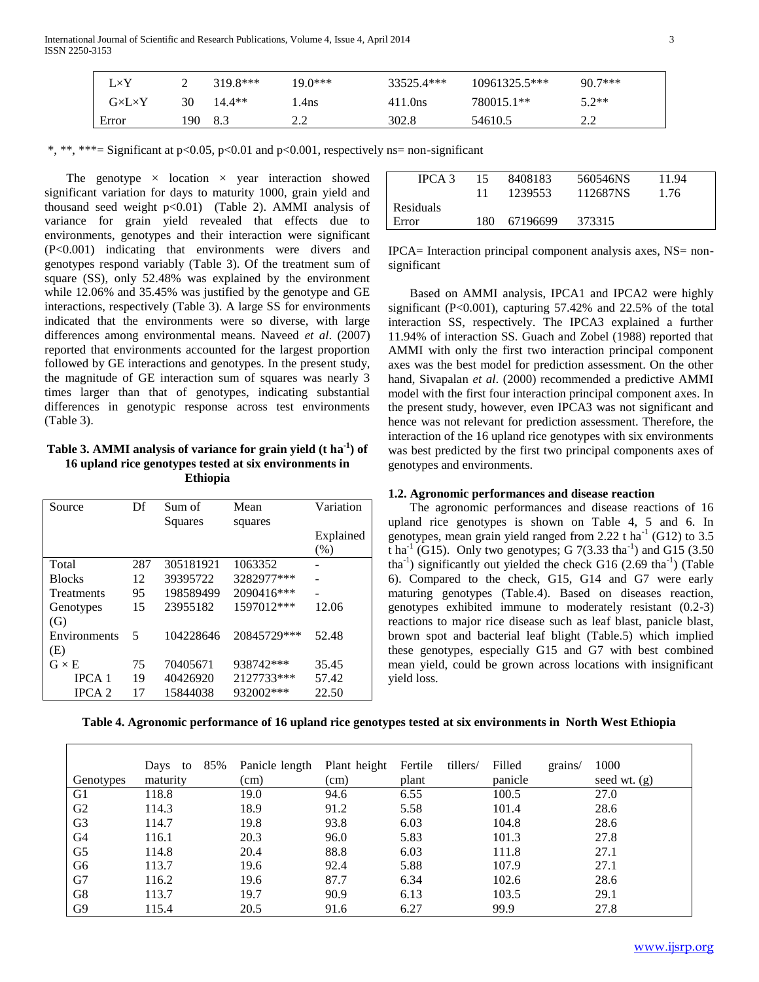| $L\times Y$         |      | $319.8***$ | $19.0***$ | 33525.4*** | $10961325.5***$ | $90.7***$ |
|---------------------|------|------------|-----------|------------|-----------------|-----------|
| $G\times L\times Y$ | 30   | $14.4**$   | .4ns      | 411.0ns    | 780015.1**      | $5.2**$   |
| Error               | 190. | 8.3        |           | 302.8      | 54610.5         | າ າ       |

\*, \*\*, \*\*\*= Significant at p<0.05, p<0.01 and p<0.001, respectively ns= non-significant

The genotype  $\times$  location  $\times$  year interaction showed significant variation for days to maturity 1000, grain yield and thousand seed weight  $p<0.01$ ) (Table 2). AMMI analysis of variance for grain yield revealed that effects due to environments, genotypes and their interaction were significant (P<0.001) indicating that environments were divers and genotypes respond variably (Table 3). Of the treatment sum of square (SS), only 52.48% was explained by the environment while 12.06% and 35.45% was justified by the genotype and GE interactions, respectively (Table 3). A large SS for environments indicated that the environments were so diverse, with large differences among environmental means. Naveed *et al*. (2007) reported that environments accounted for the largest proportion followed by GE interactions and genotypes. In the present study, the magnitude of GE interaction sum of squares was nearly 3 times larger than that of genotypes, indicating substantial differences in genotypic response across test environments (Table 3).

## **Table 3. AMMI analysis of variance for grain yield (t ha -1 ) of 16 upland rice genotypes tested at six environments in Ethiopia**

| Source            | Df  | Sum of<br>Squares | Mean<br>squares | Variation        |
|-------------------|-----|-------------------|-----------------|------------------|
|                   |     |                   |                 | Explained<br>(%) |
| Total             | 287 | 305181921         | 1063352         |                  |
| <b>Blocks</b>     | 12  | 39395722          | 3282977***      |                  |
| <b>Treatments</b> | 95  | 198589499         | 2090416***      |                  |
| Genotypes         | 15  | 23955182          | 1597012***      | 12.06            |
| (G)               |     |                   |                 |                  |
| Environments      | 5   | 104228646         | 20845729***     | 52.48            |
| (E)               |     |                   |                 |                  |
| $G \times E$      | 75  | 70405671          | 938742***       | 35.45            |
| <b>IPCA</b> 1     | 19  | 40426920          | 2127733***      | 57.42            |
| <b>IPCA 2</b>     | 17  | 15844038          | 932002***       | 22.50            |

| IPCA 3    | 15.  | 8408183  | 560546NS | 11.94 |
|-----------|------|----------|----------|-------|
|           | 11   | 1239553  | 112687NS | 1.76  |
| Residuals |      |          |          |       |
| Error     | 180. | 67196699 | 373315   |       |
|           |      |          |          |       |

IPCA= Interaction principal component analysis axes, NS= nonsignificant

 Based on AMMI analysis, IPCA1 and IPCA2 were highly significant (P<0.001), capturing 57.42% and 22.5% of the total interaction SS, respectively. The IPCA3 explained a further 11.94% of interaction SS. Guach and Zobel (1988) reported that AMMI with only the first two interaction principal component axes was the best model for prediction assessment. On the other hand, Sivapalan *et al*. (2000) recommended a predictive AMMI model with the first four interaction principal component axes. In the present study, however, even IPCA3 was not significant and hence was not relevant for prediction assessment. Therefore, the interaction of the 16 upland rice genotypes with six environments was best predicted by the first two principal components axes of genotypes and environments.

## **1.2. Agronomic performances and disease reaction**

 The agronomic performances and disease reactions of 16 upland rice genotypes is shown on Table 4, 5 and 6. In genotypes, mean grain yield ranged from 2.22 t ha<sup>-1</sup> (G12) to 3.5  $\tan \frac{1}{1}$  (G15). Only two genotypes; G 7(3.33 tha<sup>-1</sup>) and G15 (3.50 tha<sup>-1</sup>) significantly out yielded the check G16  $(2.69 \text{ tha}^{-1})$  (Table 6). Compared to the check, G15, G14 and G7 were early maturing genotypes (Table.4). Based on diseases reaction, genotypes exhibited immune to moderately resistant (0.2-3) reactions to major rice disease such as leaf blast, panicle blast, brown spot and bacterial leaf blight (Table.5) which implied these genotypes, especially G15 and G7 with best combined mean yield, could be grown across locations with insignificant yield loss.

| Genotypes      | 85%<br>Days to<br>maturity | Panicle length Plant height<br>(cm) | (cm) | tillers/<br>Fertile<br>plant | Filled<br>grains/<br>panicle | 1000<br>seed wt. $(g)$ |
|----------------|----------------------------|-------------------------------------|------|------------------------------|------------------------------|------------------------|
| G1             | 118.8                      | 19.0                                | 94.6 | 6.55                         | 100.5                        | 27.0                   |
| G <sub>2</sub> | 114.3                      | 18.9                                | 91.2 | 5.58                         | 101.4                        | 28.6                   |
| G <sub>3</sub> | 114.7                      | 19.8                                | 93.8 | 6.03                         | 104.8                        | 28.6                   |
| G4             | 116.1                      | 20.3                                | 96.0 | 5.83                         | 101.3                        | 27.8                   |
| G5             | 114.8                      | 20.4                                | 88.8 | 6.03                         | 111.8                        | 27.1                   |
| G6             | 113.7                      | 19.6                                | 92.4 | 5.88                         | 107.9                        | 27.1                   |
| G7             | 116.2                      | 19.6                                | 87.7 | 6.34                         | 102.6                        | 28.6                   |
| G8             | 113.7                      | 19.7                                | 90.9 | 6.13                         | 103.5                        | 29.1                   |
| G9             | 115.4                      | 20.5                                | 91.6 | 6.27                         | 99.9                         | 27.8                   |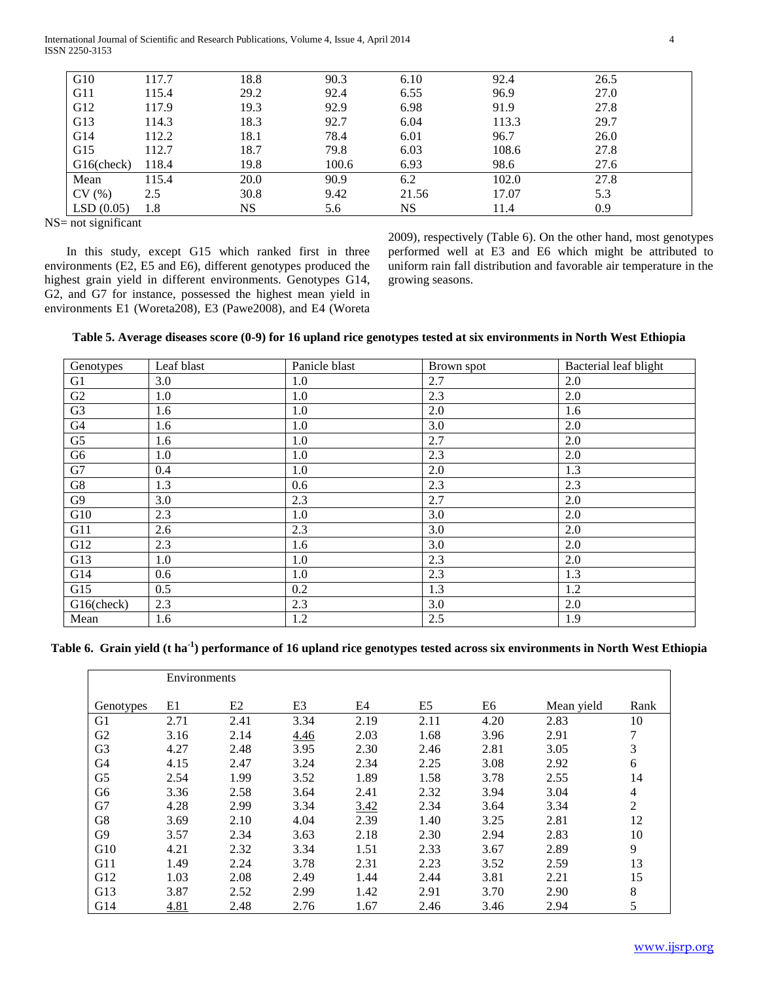International Journal of Scientific and Research Publications, Volume 4, Issue 4, April 2014 4 ISSN 2250-3153

| G10        | 117.7 | 18.8 | 90.3  | 6.10  | 92.4  | 26.5 |
|------------|-------|------|-------|-------|-------|------|
| G11        | 115.4 | 29.2 | 92.4  | 6.55  | 96.9  | 27.0 |
| G12        | 117.9 | 19.3 | 92.9  | 6.98  | 91.9  | 27.8 |
| G13        | 114.3 | 18.3 | 92.7  | 6.04  | 113.3 | 29.7 |
| G14        | 112.2 | 18.1 | 78.4  | 6.01  | 96.7  | 26.0 |
| G15        | 112.7 | 18.7 | 79.8  | 6.03  | 108.6 | 27.8 |
| G16(check) | 118.4 | 19.8 | 100.6 | 6.93  | 98.6  | 27.6 |
| Mean       | 115.4 | 20.0 | 90.9  | 6.2   | 102.0 | 27.8 |
| CV(%)      | 2.5   | 30.8 | 9.42  | 21.56 | 17.07 | 5.3  |
| LSD(0.05)  | 1.8   | NS   | 5.6   | NS    | 11.4  | 0.9  |

NS= not significant

 In this study, except G15 which ranked first in three environments (E2, E5 and E6), different genotypes produced the highest grain yield in different environments. Genotypes G14, G2, and G7 for instance, possessed the highest mean yield in environments E1 (Woreta208), E3 (Pawe2008), and E4 (Woreta 2009), respectively (Table 6). On the other hand, most genotypes performed well at E3 and E6 which might be attributed to uniform rain fall distribution and favorable air temperature in the growing seasons.

| Genotypes      | Leaf blast | Panicle blast | Brown spot | Bacterial leaf blight |
|----------------|------------|---------------|------------|-----------------------|
| G1             | 3.0        | 1.0           | 2.7        | 2.0                   |
| G2             | 1.0        | 1.0           | 2.3        | 2.0                   |
| G <sub>3</sub> | 1.6        | 1.0           | 2.0        | 1.6                   |
| G4             | 1.6        | 1.0           | 3.0        | 2.0                   |
| G <sub>5</sub> | 1.6        | 1.0           | 2.7        | 2.0                   |
| G <sub>6</sub> | 1.0        | 1.0           | 2.3        | 2.0                   |
| G7             | 0.4        | 1.0           | 2.0        | 1.3                   |
| G8             | 1.3        | 0.6           | 2.3        | 2.3                   |
| G <sub>9</sub> | 3.0        | 2.3           | 2.7        | 2.0                   |
| G10            | 2.3        | 1.0           | 3.0        | 2.0                   |
| G11            | 2.6        | 2.3           | 3.0        | 2.0                   |
| G12            | 2.3        | 1.6           | 3.0        | 2.0                   |
| G13            | 1.0        | 1.0           | 2.3        | 2.0                   |
| G14            | 0.6        | 1.0           | 2.3        | 1.3                   |
| G15            | 0.5        | 0.2           | 1.3        | 1.2                   |
| G16(check)     | 2.3        | 2.3           | 3.0        | 2.0                   |
| Mean           | 1.6        | 1.2           | 2.5        | 1.9                   |

**Table 6. Grain yield (t ha-1 ) performance of 16 upland rice genotypes tested across six environments in North West Ethiopia**

|                | Environments |                |      |      |                |      |            |                |
|----------------|--------------|----------------|------|------|----------------|------|------------|----------------|
| Genotypes      | E1           | E <sub>2</sub> | E3   | E4   | E <sub>5</sub> | E6   | Mean yield | Rank           |
| G <sub>1</sub> | 2.71         | 2.41           | 3.34 | 2.19 | 2.11           | 4.20 | 2.83       | 10             |
| G2             | 3.16         | 2.14           | 4.46 | 2.03 | 1.68           | 3.96 | 2.91       | 7              |
| G <sub>3</sub> | 4.27         | 2.48           | 3.95 | 2.30 | 2.46           | 2.81 | 3.05       | 3              |
| G4             | 4.15         | 2.47           | 3.24 | 2.34 | 2.25           | 3.08 | 2.92       | 6              |
| G <sub>5</sub> | 2.54         | 1.99           | 3.52 | 1.89 | 1.58           | 3.78 | 2.55       | 14             |
| G <sub>6</sub> | 3.36         | 2.58           | 3.64 | 2.41 | 2.32           | 3.94 | 3.04       | 4              |
| G7             | 4.28         | 2.99           | 3.34 | 3.42 | 2.34           | 3.64 | 3.34       | $\overline{2}$ |
| G8             | 3.69         | 2.10           | 4.04 | 2.39 | 1.40           | 3.25 | 2.81       | 12             |
| G9             | 3.57         | 2.34           | 3.63 | 2.18 | 2.30           | 2.94 | 2.83       | 10             |
| G10            | 4.21         | 2.32           | 3.34 | 1.51 | 2.33           | 3.67 | 2.89       | 9              |
| G11            | 1.49         | 2.24           | 3.78 | 2.31 | 2.23           | 3.52 | 2.59       | 13             |
| G12            | 1.03         | 2.08           | 2.49 | 1.44 | 2.44           | 3.81 | 2.21       | 15             |
| G13            | 3.87         | 2.52           | 2.99 | 1.42 | 2.91           | 3.70 | 2.90       | 8              |
| G14            | 4.81         | 2.48           | 2.76 | 1.67 | 2.46           | 3.46 | 2.94       | 5              |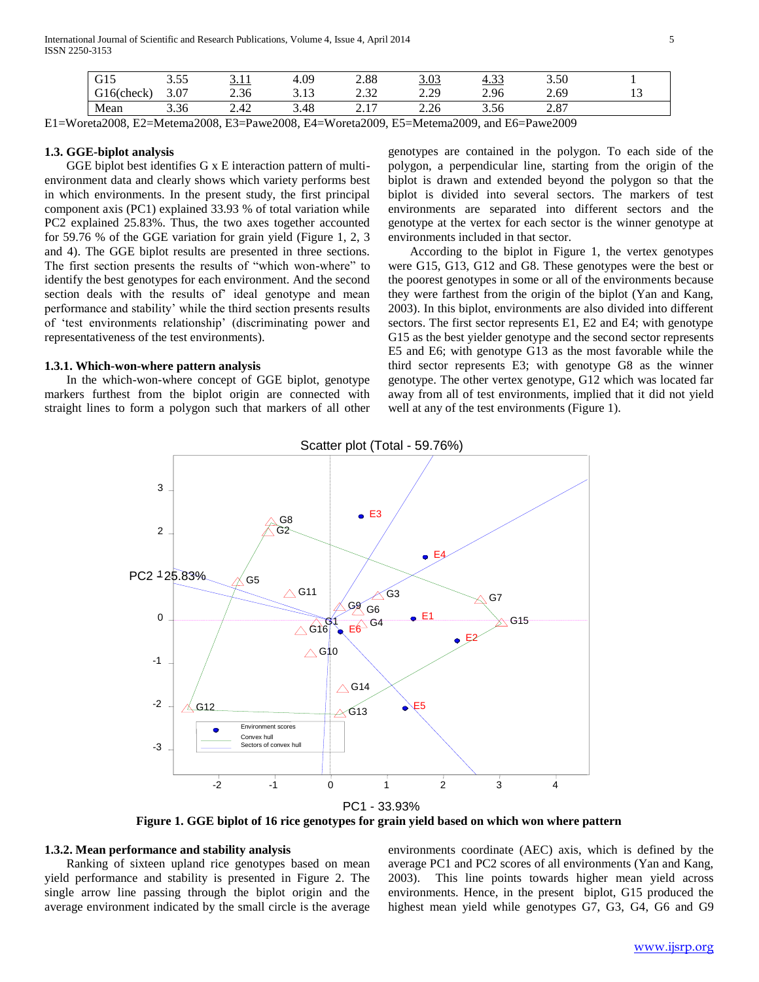International Journal of Scientific and Research Publications, Volume 4, Issue 4, April 2014 5 ISSN 2250-3153

| $\sim$ 1 $\sim$<br>UIJ       | 255<br>ر. ر.               | $\blacksquare$<br><u>.</u>             | 4.09          | 2.88                     | າ ດາ<br><u>.UJ</u> | $\bigcap$<br><u>4.JJ</u> | 3.50                           |                |
|------------------------------|----------------------------|----------------------------------------|---------------|--------------------------|--------------------|--------------------------|--------------------------------|----------------|
| $\sim$ check $\sim$<br>UILUN | $\sim$<br>3.0 <sub>1</sub> | $\cap$ $\cap$ $\subset$<br>ረ ሱ<br>2.00 | $\sim$<br>ر ب | $\Omega$<br>سترین        | າ າດ<br>رىن        | 2.96                     | 2.69                           | . . <i>. .</i> |
| Mean                         | $\sim$ $\sim$<br>3.30      | $\Lambda$<br>$\overline{a}$            | 3.48          | 1 <sub>7</sub><br>$\sim$ | 2.26<br>4.40       | 3.56                     | n 07<br>$\sim$ $\sim$ $\prime$ |                |

E1=Woreta2008, E2=Metema2008, E3=Pawe2008, E4=Woreta2009, E5=Metema2009, and E6=Pawe2009

#### **1.3. GGE-biplot analysis**

 GGE biplot best identifies G x E interaction pattern of multienvironment data and clearly shows which variety performs best in which environments. In the present study, the first principal component axis (PC1) explained 33.93 % of total variation while PC2 explained 25.83%. Thus, the two axes together accounted for 59.76 % of the GGE variation for grain yield (Figure 1, 2, 3 and 4). The GGE biplot results are presented in three sections. The first section presents the results of "which won-where" to identify the best genotypes for each environment. And the second section deals with the results of ideal genotype and mean performance and stability' while the third section presents results of 'test environments relationship' (discriminating power and representativeness of the test environments).

### **1.3.1. Which-won-where pattern analysis**

 In the which-won-where concept of GGE biplot, genotype markers furthest from the biplot origin are connected with straight lines to form a polygon such that markers of all other genotypes are contained in the polygon. To each side of the polygon, a perpendicular line, starting from the origin of the biplot is drawn and extended beyond the polygon so that the biplot is divided into several sectors. The markers of test environments are separated into different sectors and the genotype at the vertex for each sector is the winner genotype at environments included in that sector.

 According to the biplot in Figure 1, the vertex genotypes were G15, G13, G12 and G8. These genotypes were the best or the poorest genotypes in some or all of the environments because they were farthest from the origin of the biplot (Yan and Kang, 2003). In this biplot, environments are also divided into different sectors. The first sector represents E1, E2 and E4; with genotype G15 as the best yielder genotype and the second sector represents E5 and E6; with genotype G13 as the most favorable while the third sector represents E3; with genotype G8 as the winner genotype. The other vertex genotype, G12 which was located far away from all of test environments, implied that it did not yield well at any of the test environments (Figure 1).



**Figure 1. GGE biplot of 16 rice genotypes for grain yield based on which won where pattern**

#### **1.3.2. Mean performance and stability analysis**

 Ranking of sixteen upland rice genotypes based on mean yield performance and stability is presented in Figure 2. The single arrow line passing through the biplot origin and the average environment indicated by the small circle is the average

environments coordinate (AEC) axis, which is defined by the average PC1 and PC2 scores of all environments (Yan and Kang, 2003). This line points towards higher mean yield across environments. Hence, in the present biplot, G15 produced the highest mean yield while genotypes G7, G3, G4, G6 and G9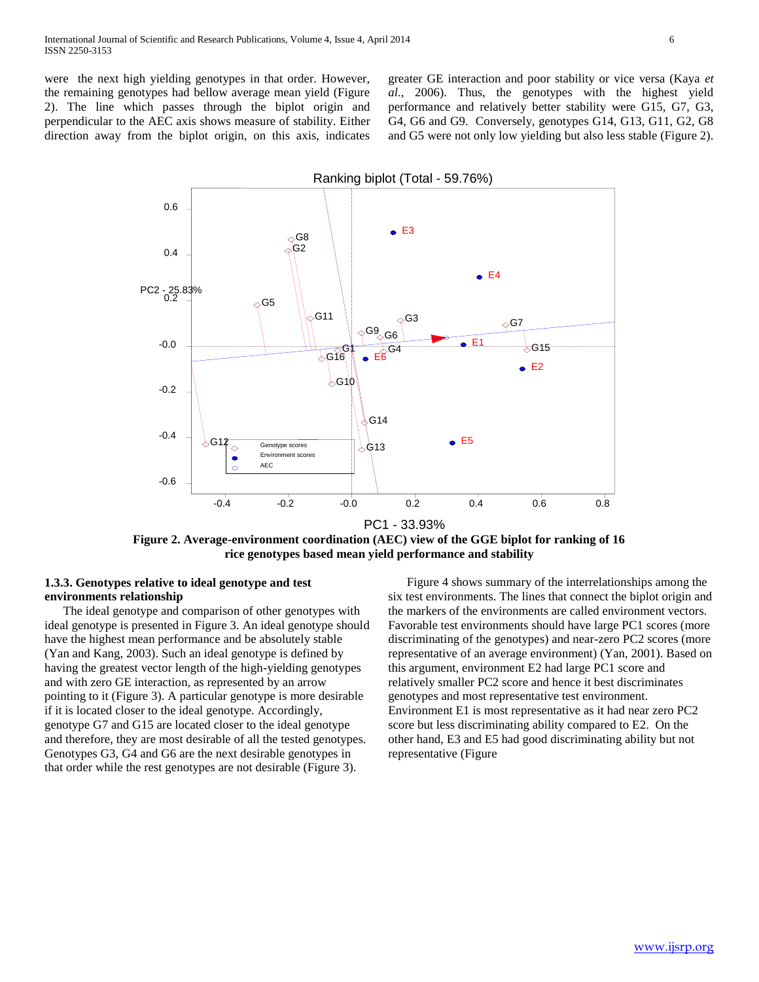greater GE interaction and poor stability or vice versa (Kaya *et al*., 2006). Thus, the genotypes with the highest yield performance and relatively better stability were G15, G7, G3, G4, G6 and G9. Conversely, genotypes G14, G13, G11, G2, G8 and G5 were not only low yielding but also less stable (Figure 2).



**Figure 2. Average-environment coordination (AEC) view of the GGE biplot for ranking of 16 rice genotypes based mean yield performance and stability**

## **1.3.3. Genotypes relative to ideal genotype and test environments relationship**

 The ideal genotype and comparison of other genotypes with ideal genotype is presented in Figure 3. An ideal genotype should have the highest mean performance and be absolutely stable (Yan and Kang, 2003). Such an ideal genotype is defined by having the greatest vector length of the high-yielding genotypes and with zero GE interaction, as represented by an arrow pointing to it (Figure 3). A particular genotype is more desirable if it is located closer to the ideal genotype. Accordingly, genotype G7 and G15 are located closer to the ideal genotype and therefore, they are most desirable of all the tested genotypes. Genotypes G3, G4 and G6 are the next desirable genotypes in that order while the rest genotypes are not desirable (Figure 3).

 Figure 4 shows summary of the interrelationships among the six test environments. The lines that connect the biplot origin and the markers of the environments are called environment vectors. Favorable test environments should have large PC1 scores (more discriminating of the genotypes) and near-zero PC2 scores (more representative of an average environment) (Yan, 2001). Based on this argument, environment E2 had large PC1 score and relatively smaller PC2 score and hence it best discriminates genotypes and most representative test environment. Environment E1 is most representative as it had near zero PC2 score but less discriminating ability compared to E2. On the other hand, E3 and E5 had good discriminating ability but not representative (Figure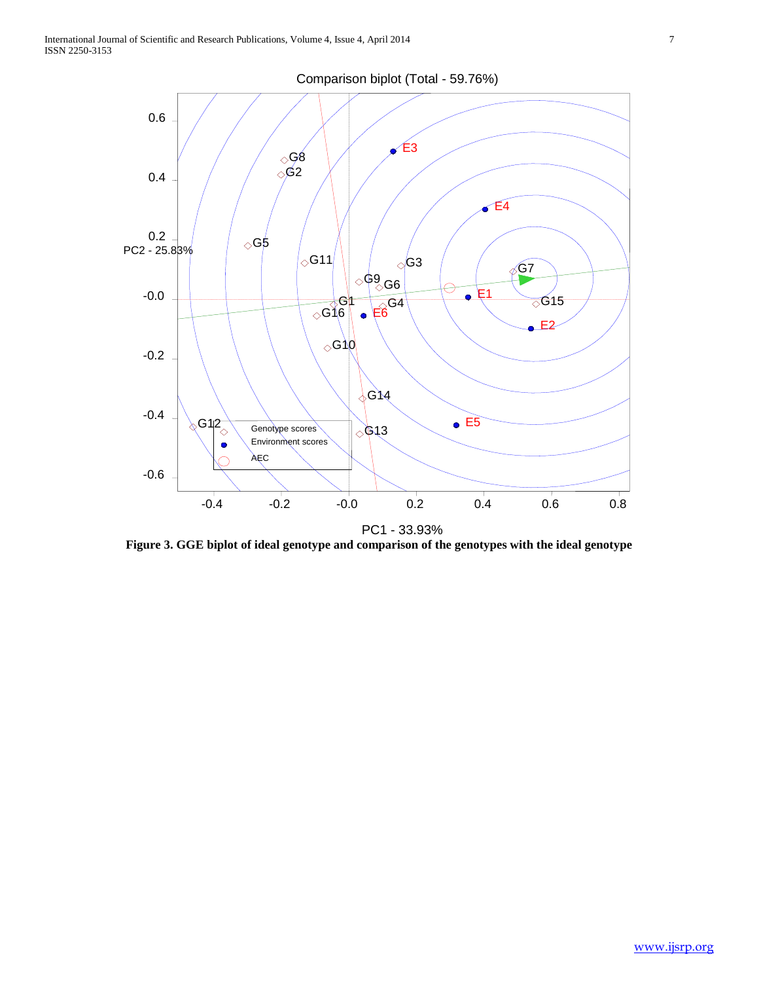

**Figure 3. GGE biplot of ideal genotype and comparison of the genotypes with the ideal genotype**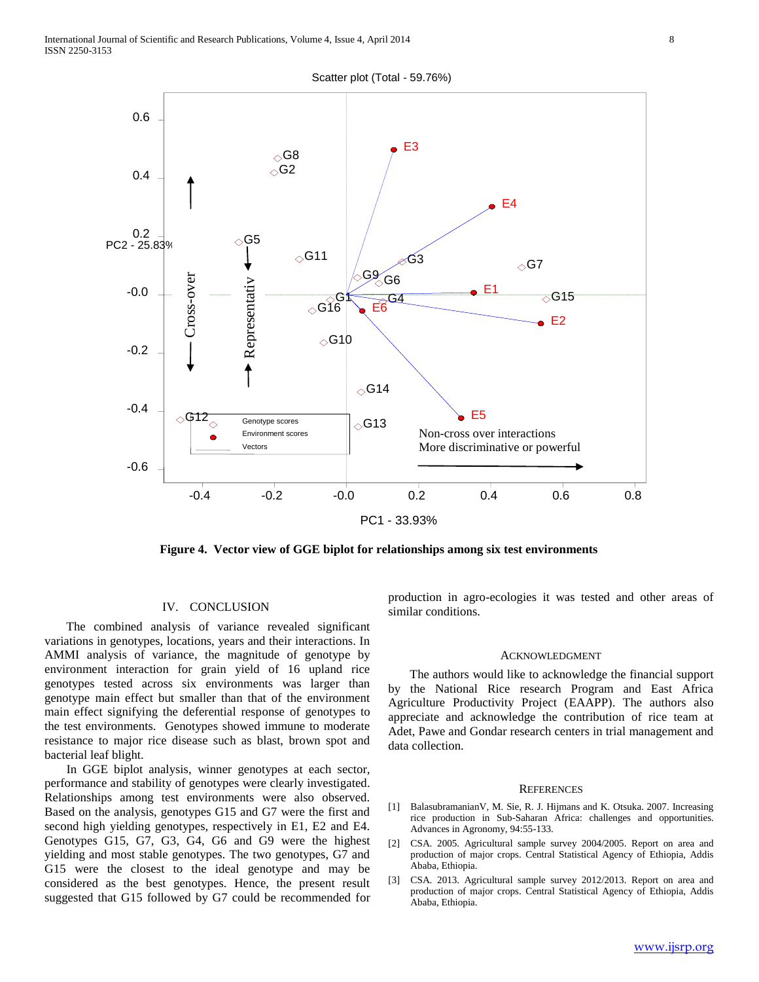



**Figure 4. Vector view of GGE biplot for relationships among six test environments**

#### IV. CONCLUSION

 The combined analysis of variance revealed significant variations in genotypes, locations, years and their interactions. In AMMI analysis of variance, the magnitude of genotype by environment interaction for grain yield of 16 upland rice genotypes tested across six environments was larger than genotype main effect but smaller than that of the environment main effect signifying the deferential response of genotypes to the test environments. Genotypes showed immune to moderate resistance to major rice disease such as blast, brown spot and bacterial leaf blight.

 In GGE biplot analysis, winner genotypes at each sector, performance and stability of genotypes were clearly investigated. Relationships among test environments were also observed. Based on the analysis, genotypes G15 and G7 were the first and second high yielding genotypes, respectively in E1, E2 and E4. Genotypes G15, G7, G3, G4, G6 and G9 were the highest yielding and most stable genotypes. The two genotypes, G7 and G15 were the closest to the ideal genotype and may be considered as the best genotypes. Hence, the present result suggested that G15 followed by G7 could be recommended for

production in agro-ecologies it was tested and other areas of similar conditions.

#### ACKNOWLEDGMENT

 The authors would like to acknowledge the financial support by the National Rice research Program and East Africa Agriculture Productivity Project (EAAPP). The authors also appreciate and acknowledge the contribution of rice team at Adet, Pawe and Gondar research centers in trial management and data collection.

#### **REFERENCES**

- [1] BalasubramanianV, M. Sie, R. J. Hijmans and K. Otsuka. 2007. Increasing rice production in Sub-Saharan Africa: challenges and opportunities. Advances in Agronomy, 94:55-133.
- [2] CSA. 2005. Agricultural sample survey 2004/2005. Report on area and production of major crops. Central Statistical Agency of Ethiopia, Addis Ababa, Ethiopia.
- [3] CSA. 2013. Agricultural sample survey 2012/2013. Report on area and production of major crops. Central Statistical Agency of Ethiopia, Addis Ababa, Ethiopia.